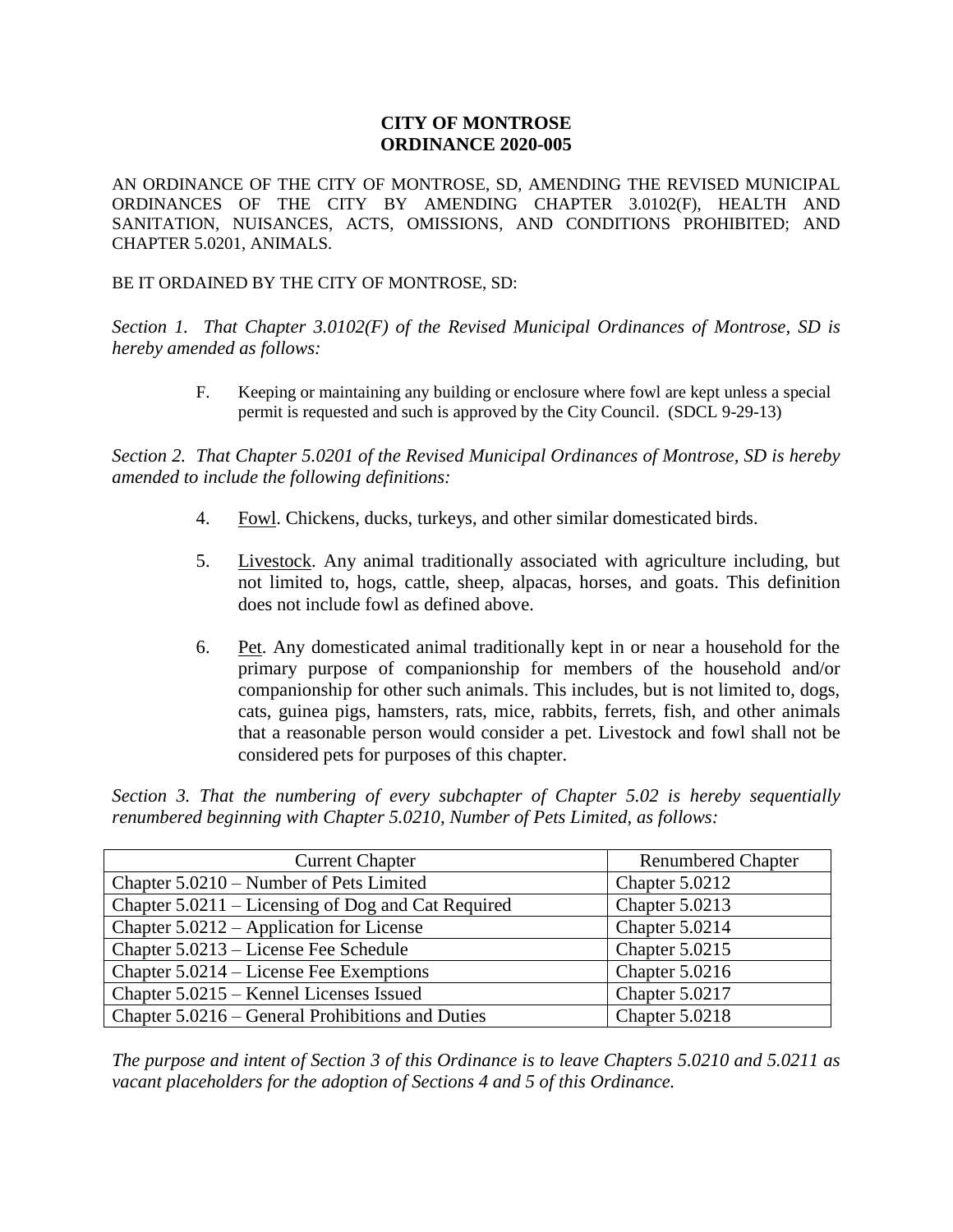## **CITY OF MONTROSE ORDINANCE 2020-005**

AN ORDINANCE OF THE CITY OF MONTROSE, SD, AMENDING THE REVISED MUNICIPAL ORDINANCES OF THE CITY BY AMENDING CHAPTER 3.0102(F), HEALTH AND SANITATION, NUISANCES, ACTS, OMISSIONS, AND CONDITIONS PROHIBITED; AND CHAPTER 5.0201, ANIMALS.

BE IT ORDAINED BY THE CITY OF MONTROSE, SD:

*Section 1. That Chapter 3.0102(F) of the Revised Municipal Ordinances of Montrose, SD is hereby amended as follows:*

> F. Keeping or maintaining any building or enclosure where fowl are kept unless a special permit is requested and such is approved by the City Council. (SDCL 9-29-13)

*Section 2. That Chapter 5.0201 of the Revised Municipal Ordinances of Montrose, SD is hereby amended to include the following definitions:*

- 4. Fowl. Chickens, ducks, turkeys, and other similar domesticated birds.
- 5. Livestock. Any animal traditionally associated with agriculture including, but not limited to, hogs, cattle, sheep, alpacas, horses, and goats. This definition does not include fowl as defined above.
- 6. Pet. Any domesticated animal traditionally kept in or near a household for the primary purpose of companionship for members of the household and/or companionship for other such animals. This includes, but is not limited to, dogs, cats, guinea pigs, hamsters, rats, mice, rabbits, ferrets, fish, and other animals that a reasonable person would consider a pet. Livestock and fowl shall not be considered pets for purposes of this chapter.

*Section 3. That the numbering of every subchapter of Chapter 5.02 is hereby sequentially renumbered beginning with Chapter 5.0210, Number of Pets Limited, as follows:*

| <b>Current Chapter</b>                             | <b>Renumbered Chapter</b> |
|----------------------------------------------------|---------------------------|
| Chapter 5.0210 – Number of Pets Limited            | Chapter 5.0212            |
| Chapter 5.0211 – Licensing of Dog and Cat Required | Chapter 5.0213            |
| Chapter $5.0212$ – Application for License         | Chapter 5.0214            |
| Chapter 5.0213 – License Fee Schedule              | Chapter 5.0215            |
| Chapter 5.0214 – License Fee Exemptions            | Chapter 5.0216            |
| Chapter 5.0215 – Kennel Licenses Issued            | Chapter 5.0217            |
| Chapter 5.0216 – General Prohibitions and Duties   | Chapter 5.0218            |

*The purpose and intent of Section 3 of this Ordinance is to leave Chapters 5.0210 and 5.0211 as vacant placeholders for the adoption of Sections 4 and 5 of this Ordinance.*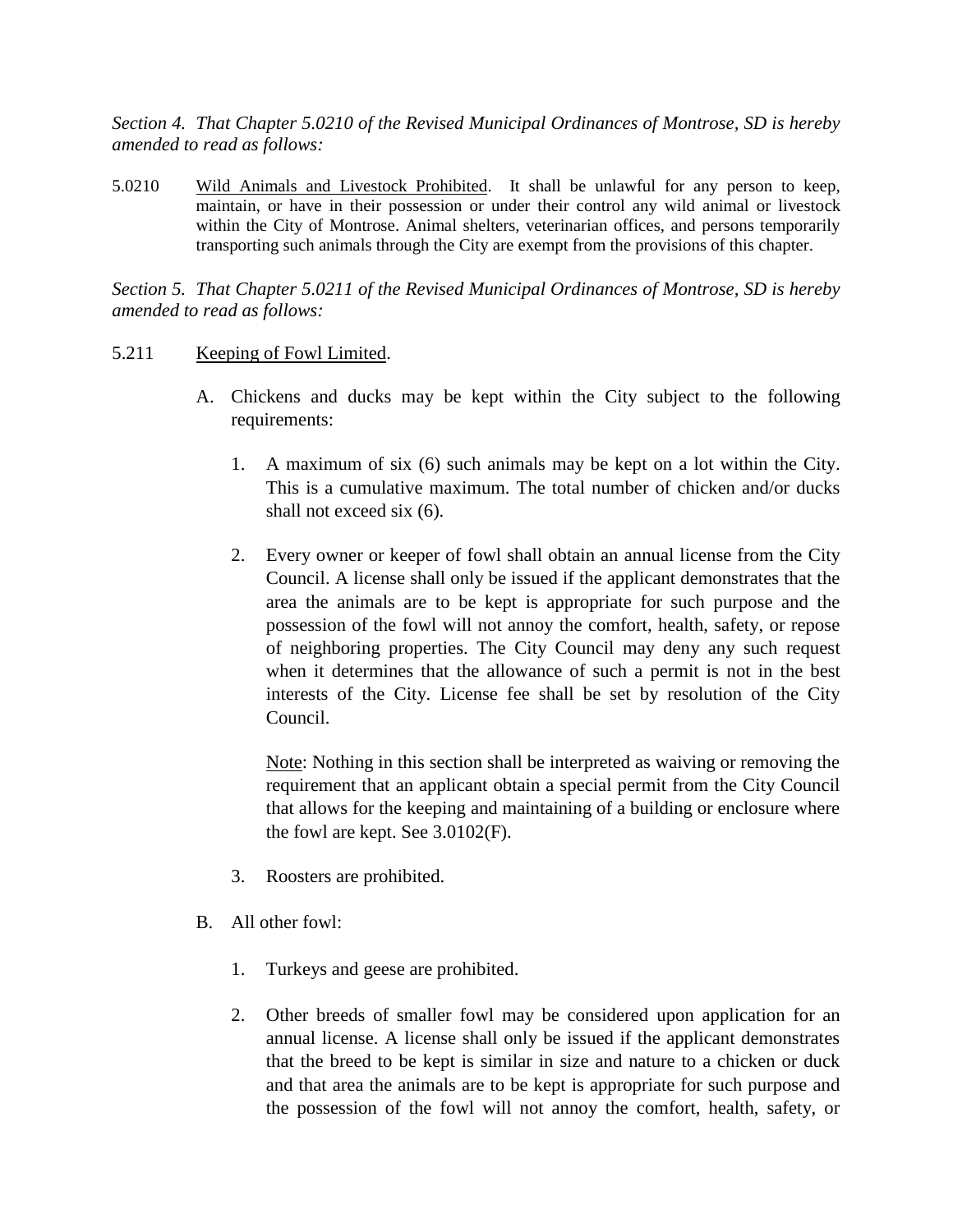*Section 4. That Chapter 5.0210 of the Revised Municipal Ordinances of Montrose, SD is hereby amended to read as follows:*

5.0210 Wild Animals and Livestock Prohibited. It shall be unlawful for any person to keep, maintain, or have in their possession or under their control any wild animal or livestock within the City of Montrose. Animal shelters, veterinarian offices, and persons temporarily transporting such animals through the City are exempt from the provisions of this chapter.

*Section 5. That Chapter 5.0211 of the Revised Municipal Ordinances of Montrose, SD is hereby amended to read as follows:*

## 5.211 Keeping of Fowl Limited.

- A. Chickens and ducks may be kept within the City subject to the following requirements:
	- 1. A maximum of six (6) such animals may be kept on a lot within the City. This is a cumulative maximum. The total number of chicken and/or ducks shall not exceed six (6).
	- 2. Every owner or keeper of fowl shall obtain an annual license from the City Council. A license shall only be issued if the applicant demonstrates that the area the animals are to be kept is appropriate for such purpose and the possession of the fowl will not annoy the comfort, health, safety, or repose of neighboring properties. The City Council may deny any such request when it determines that the allowance of such a permit is not in the best interests of the City. License fee shall be set by resolution of the City Council.

Note: Nothing in this section shall be interpreted as waiving or removing the requirement that an applicant obtain a special permit from the City Council that allows for the keeping and maintaining of a building or enclosure where the fowl are kept. See 3.0102(F).

- 3. Roosters are prohibited.
- B. All other fowl:
	- 1. Turkeys and geese are prohibited.
	- 2. Other breeds of smaller fowl may be considered upon application for an annual license. A license shall only be issued if the applicant demonstrates that the breed to be kept is similar in size and nature to a chicken or duck and that area the animals are to be kept is appropriate for such purpose and the possession of the fowl will not annoy the comfort, health, safety, or